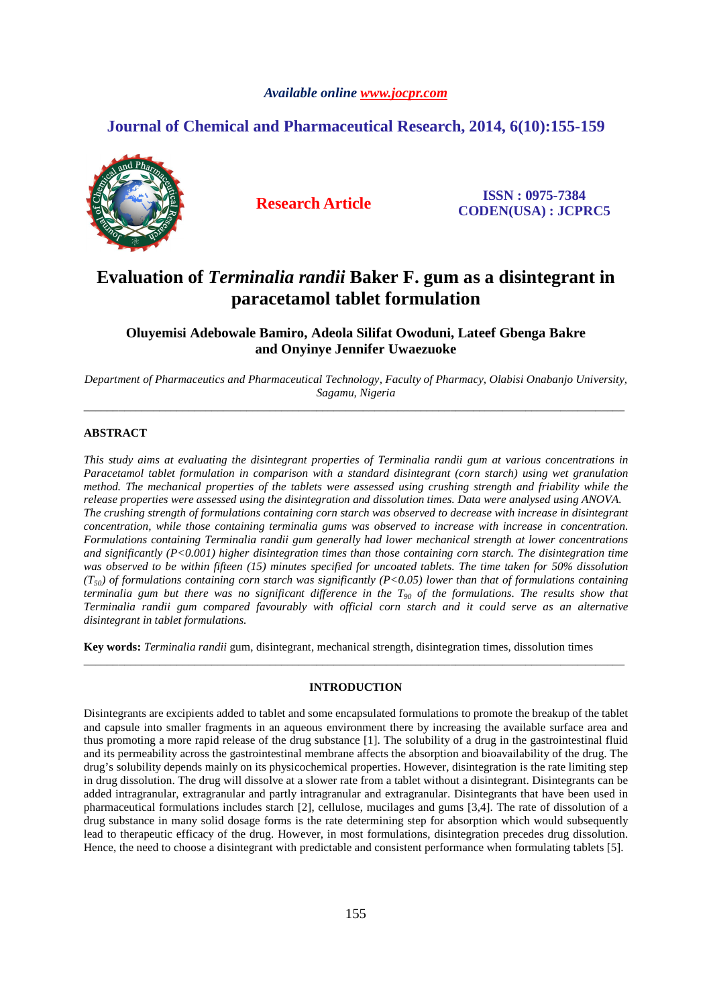### *Available online www.jocpr.com*

## **Journal of Chemical and Pharmaceutical Research, 2014, 6(10):155-159**



**Research Article ISSN : 0975-7384 CODEN(USA) : JCPRC5**

# **Evaluation of** *Terminalia randii* **Baker F. gum as a disintegrant in paracetamol tablet formulation**

**Oluyemisi Adebowale Bamiro, Adeola Silifat Owoduni, Lateef Gbenga Bakre and Onyinye Jennifer Uwaezuoke** 

*Department of Pharmaceutics and Pharmaceutical Technology, Faculty of Pharmacy, Olabisi Onabanjo University, Sagamu, Nigeria*  \_\_\_\_\_\_\_\_\_\_\_\_\_\_\_\_\_\_\_\_\_\_\_\_\_\_\_\_\_\_\_\_\_\_\_\_\_\_\_\_\_\_\_\_\_\_\_\_\_\_\_\_\_\_\_\_\_\_\_\_\_\_\_\_\_\_\_\_\_\_\_\_\_\_\_\_\_\_\_\_\_\_\_\_\_\_\_\_\_\_\_\_\_

### **ABSTRACT**

*This study aims at evaluating the disintegrant properties of Terminalia randii gum at various concentrations in Paracetamol tablet formulation in comparison with a standard disintegrant (corn starch) using wet granulation method. The mechanical properties of the tablets were assessed using crushing strength and friability while the release properties were assessed using the disintegration and dissolution times. Data were analysed using ANOVA. The crushing strength of formulations containing corn starch was observed to decrease with increase in disintegrant concentration, while those containing terminalia gums was observed to increase with increase in concentration. Formulations containing Terminalia randii gum generally had lower mechanical strength at lower concentrations and significantly (P<0.001) higher disintegration times than those containing corn starch. The disintegration time was observed to be within fifteen (15) minutes specified for uncoated tablets. The time taken for 50% dissolution (T50) of formulations containing corn starch was significantly (P<0.05) lower than that of formulations containing terminalia gum but there was no significant difference in the T90 of the formulations. The results show that Terminalia randii gum compared favourably with official corn starch and it could serve as an alternative disintegrant in tablet formulations.* 

**Key words:** *Terminalia randii* gum, disintegrant, mechanical strength, disintegration times, dissolution times

#### **INTRODUCTION**

\_\_\_\_\_\_\_\_\_\_\_\_\_\_\_\_\_\_\_\_\_\_\_\_\_\_\_\_\_\_\_\_\_\_\_\_\_\_\_\_\_\_\_\_\_\_\_\_\_\_\_\_\_\_\_\_\_\_\_\_\_\_\_\_\_\_\_\_\_\_\_\_\_\_\_\_\_\_\_\_\_\_\_\_\_\_\_\_\_\_\_\_\_

Disintegrants are excipients added to tablet and some encapsulated formulations to promote the breakup of the tablet and capsule into smaller fragments in an aqueous environment there by increasing the available surface area and thus promoting a more rapid release of the drug substance [1]. The solubility of a drug in the gastrointestinal fluid and its permeability across the gastrointestinal membrane affects the absorption and bioavailability of the drug. The drug's solubility depends mainly on its physicochemical properties. However, disintegration is the rate limiting step in drug dissolution. The drug will dissolve at a slower rate from a tablet without a disintegrant. Disintegrants can be added intragranular, extragranular and partly intragranular and extragranular. Disintegrants that have been used in pharmaceutical formulations includes starch [2], cellulose, mucilages and gums [3,4]. The rate of dissolution of a drug substance in many solid dosage forms is the rate determining step for absorption which would subsequently lead to therapeutic efficacy of the drug. However, in most formulations, disintegration precedes drug dissolution. Hence, the need to choose a disintegrant with predictable and consistent performance when formulating tablets [5].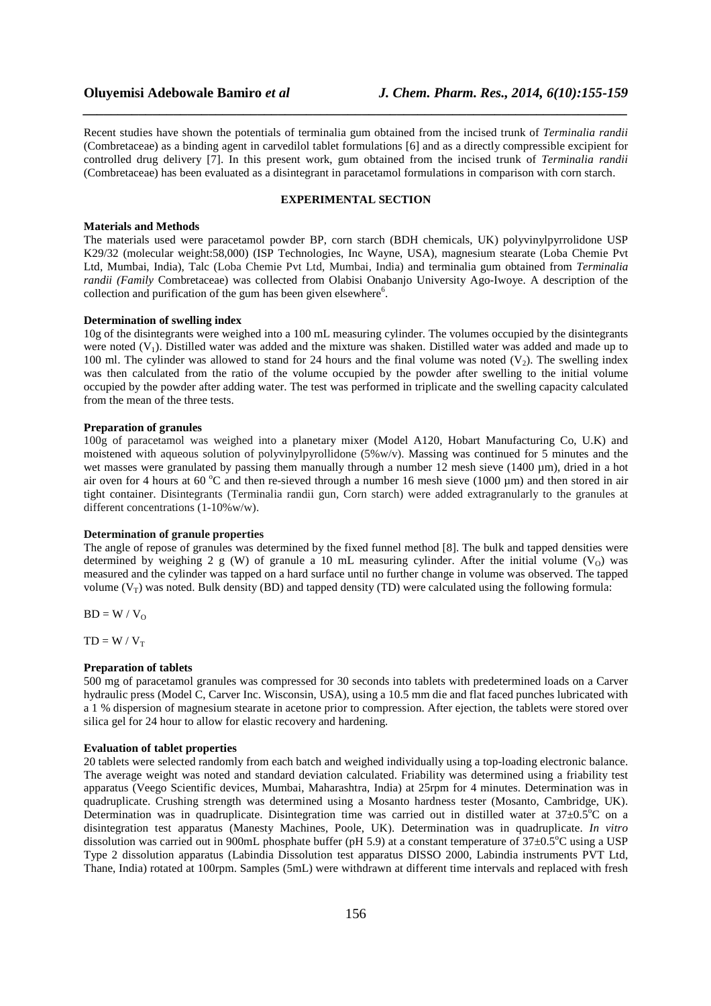Recent studies have shown the potentials of terminalia gum obtained from the incised trunk of *Terminalia randii* (Combretaceae) as a binding agent in carvedilol tablet formulations [6] and as a directly compressible excipient for controlled drug delivery [7]. In this present work, gum obtained from the incised trunk of *Terminalia randii* (Combretaceae) has been evaluated as a disintegrant in paracetamol formulations in comparison with corn starch.

*\_\_\_\_\_\_\_\_\_\_\_\_\_\_\_\_\_\_\_\_\_\_\_\_\_\_\_\_\_\_\_\_\_\_\_\_\_\_\_\_\_\_\_\_\_\_\_\_\_\_\_\_\_\_\_\_\_\_\_\_\_\_\_\_\_\_\_\_\_\_\_\_\_\_\_\_\_\_*

#### **EXPERIMENTAL SECTION**

#### **Materials and Methods**

The materials used were paracetamol powder BP, corn starch (BDH chemicals, UK) polyvinylpyrrolidone USP K29/32 (molecular weight:58,000) (ISP Technologies, Inc Wayne, USA), magnesium stearate (Loba Chemie Pvt Ltd, Mumbai, India), Talc (Loba Chemie Pvt Ltd, Mumbai, India) and terminalia gum obtained from *Terminalia randii (Family* Combretaceae) was collected from Olabisi Onabanjo University Ago-Iwoye. A description of the collection and purification of the gum has been given elsewhere<sup>6</sup>.

#### **Determination of swelling index**

10g of the disintegrants were weighed into a 100 mL measuring cylinder. The volumes occupied by the disintegrants were noted (V1). Distilled water was added and the mixture was shaken. Distilled water was added and made up to 100 ml. The cylinder was allowed to stand for 24 hours and the final volume was noted  $(V_2)$ . The swelling index was then calculated from the ratio of the volume occupied by the powder after swelling to the initial volume occupied by the powder after adding water. The test was performed in triplicate and the swelling capacity calculated from the mean of the three tests.

#### **Preparation of granules**

100g of paracetamol was weighed into a planetary mixer (Model A120, Hobart Manufacturing Co, U.K) and moistened with aqueous solution of polyvinylpyrollidone (5%w/v). Massing was continued for 5 minutes and the wet masses were granulated by passing them manually through a number 12 mesh sieve (1400 µm), dried in a hot air oven for 4 hours at 60  $^{\circ}$ C and then re-sieved through a number 16 mesh sieve (1000 µm) and then stored in air tight container. Disintegrants (Terminalia randii gun, Corn starch) were added extragranularly to the granules at different concentrations (1-10%w/w).

#### **Determination of granule properties**

The angle of repose of granules was determined by the fixed funnel method [8]. The bulk and tapped densities were determined by weighing 2 g (W) of granule a 10 mL measuring cylinder. After the initial volume (V<sub>O</sub>) was measured and the cylinder was tapped on a hard surface until no further change in volume was observed. The tapped volume  $(V_T)$  was noted. Bulk density (BD) and tapped density (TD) were calculated using the following formula:

 $BD = W / V_0$ 

 $TD = W / V_T$ 

#### **Preparation of tablets**

500 mg of paracetamol granules was compressed for 30 seconds into tablets with predetermined loads on a Carver hydraulic press (Model C, Carver Inc. Wisconsin, USA), using a 10.5 mm die and flat faced punches lubricated with a 1 % dispersion of magnesium stearate in acetone prior to compression. After ejection, the tablets were stored over silica gel for 24 hour to allow for elastic recovery and hardening.

#### **Evaluation of tablet properties**

20 tablets were selected randomly from each batch and weighed individually using a top-loading electronic balance. The average weight was noted and standard deviation calculated. Friability was determined using a friability test apparatus (Veego Scientific devices, Mumbai, Maharashtra, India) at 25rpm for 4 minutes. Determination was in quadruplicate. Crushing strength was determined using a Mosanto hardness tester (Mosanto, Cambridge, UK). Determination was in quadruplicate. Disintegration time was carried out in distilled water at  $37\pm0.5^{\circ}$ C on a disintegration test apparatus (Manesty Machines, Poole, UK). Determination was in quadruplicate. *In vitro* dissolution was carried out in 900mL phosphate buffer (pH 5.9) at a constant temperature of  $37\pm0.5^{\circ}$ C using a USP Type 2 dissolution apparatus (Labindia Dissolution test apparatus DISSO 2000, Labindia instruments PVT Ltd, Thane, India) rotated at 100rpm. Samples (5mL) were withdrawn at different time intervals and replaced with fresh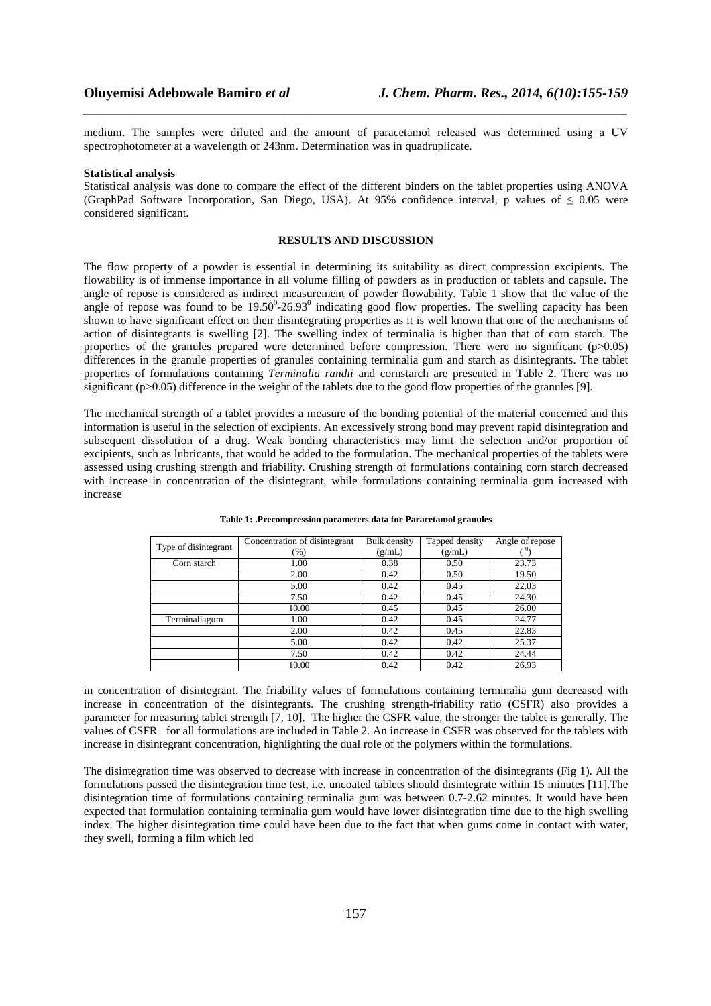medium. The samples were diluted and the amount of paracetamol released was determined using a UV spectrophotometer at a wavelength of 243nm. Determination was in quadruplicate.

*\_\_\_\_\_\_\_\_\_\_\_\_\_\_\_\_\_\_\_\_\_\_\_\_\_\_\_\_\_\_\_\_\_\_\_\_\_\_\_\_\_\_\_\_\_\_\_\_\_\_\_\_\_\_\_\_\_\_\_\_\_\_\_\_\_\_\_\_\_\_\_\_\_\_\_\_\_\_*

#### **Statistical analysis**

Statistical analysis was done to compare the effect of the different binders on the tablet properties using ANOVA (GraphPad Software Incorporation, San Diego, USA). At 95% confidence interval, p values of  $\leq 0.05$  were considered significant.

#### **RESULTS AND DISCUSSION**

The flow property of a powder is essential in determining its suitability as direct compression excipients. The flowability is of immense importance in all volume filling of powders as in production of tablets and capsule. The angle of repose is considered as indirect measurement of powder flowability. Table 1 show that the value of the angle of repose was found to be  $19.50^{\circ}$ -26.93 $^{\circ}$  indicating good flow properties. The swelling capacity has been shown to have significant effect on their disintegrating properties as it is well known that one of the mechanisms of action of disintegrants is swelling [2]. The swelling index of terminalia is higher than that of corn starch. The properties of the granules prepared were determined before compression. There were no significant  $(p>0.05)$ differences in the granule properties of granules containing terminalia gum and starch as disintegrants. The tablet properties of formulations containing *Terminalia randii* and cornstarch are presented in Table 2. There was no significant (p $>0.05$ ) difference in the weight of the tablets due to the good flow properties of the granules [9].

The mechanical strength of a tablet provides a measure of the bonding potential of the material concerned and this information is useful in the selection of excipients. An excessively strong bond may prevent rapid disintegration and subsequent dissolution of a drug. Weak bonding characteristics may limit the selection and/or proportion of excipients, such as lubricants, that would be added to the formulation. The mechanical properties of the tablets were assessed using crushing strength and friability. Crushing strength of formulations containing corn starch decreased with increase in concentration of the disintegrant, while formulations containing terminalia gum increased with increase

| Type of disintegrant | Concentration of disintegrant | Bulk density | Tapped density | Angle of repose |  |
|----------------------|-------------------------------|--------------|----------------|-----------------|--|
|                      | $(\% )$                       | (g/mL)       | (g/mL)         |                 |  |
| Corn starch          | 1.00                          | 0.38         | 0.50           | 23.73           |  |
|                      | 2.00                          | 0.42         | 0.50           | 19.50           |  |
|                      | 5.00                          | 0.42         | 0.45           | 22.03           |  |
|                      | 7.50                          | 0.42         | 0.45           | 24.30           |  |
|                      | 10.00                         | 0.45         | 0.45           | 26.00           |  |
| Terminaliagum        | 1.00                          | 0.42         | 0.45           | 24.77           |  |
|                      | 2.00                          | 0.42         | 0.45           | 22.83           |  |
|                      | 5.00                          | 0.42         | 0.42           | 25.37           |  |
|                      | 7.50                          | 0.42         | 0.42           | 24.44           |  |
|                      | 10.00                         | 0.42         | 0.42           | 26.93           |  |

#### **Table 1: .Precompression parameters data for Paracetamol granules**

in concentration of disintegrant. The friability values of formulations containing terminalia gum decreased with increase in concentration of the disintegrants. The crushing strength-friability ratio (CSFR) also provides a parameter for measuring tablet strength [7, 10]. The higher the CSFR value, the stronger the tablet is generally. The values of CSFR for all formulations are included in Table 2. An increase in CSFR was observed for the tablets with increase in disintegrant concentration, highlighting the dual role of the polymers within the formulations.

The disintegration time was observed to decrease with increase in concentration of the disintegrants (Fig 1). All the formulations passed the disintegration time test, i.e. uncoated tablets should disintegrate within 15 minutes [11].The disintegration time of formulations containing terminalia gum was between 0.7-2.62 minutes. It would have been expected that formulation containing terminalia gum would have lower disintegration time due to the high swelling index. The higher disintegration time could have been due to the fact that when gums come in contact with water, they swell, forming a film which led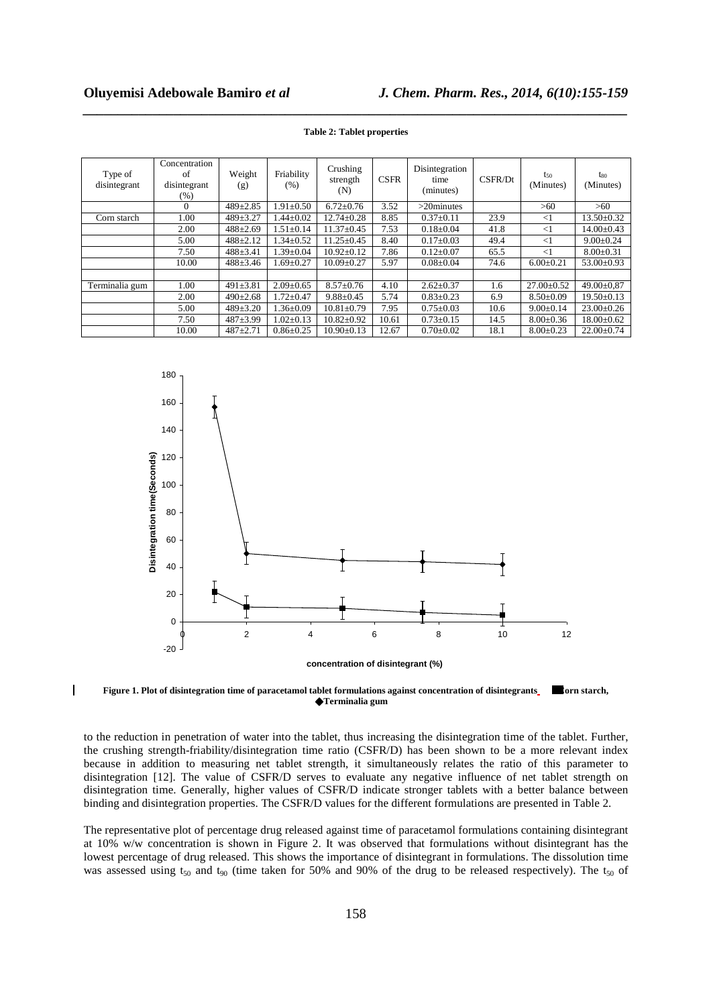$\overline{\phantom{a}}$ 

| Type of<br>disintegrant | Concentration<br>of<br>disintegrant<br>(%) | Weight<br>(g)  | Friability<br>(% ) | Crushing<br>strength<br>(N) | <b>CSFR</b> | Disintegration<br>time<br>(minutes) | CSFR/Dt | $t_{50}$<br>(Minutes) | $t_{80}$<br>(Minutes) |
|-------------------------|--------------------------------------------|----------------|--------------------|-----------------------------|-------------|-------------------------------------|---------|-----------------------|-----------------------|
|                         | $\Omega$                                   | $489 \pm 2.85$ | $1.91 \pm 0.50$    | $6.72 \pm 0.76$             | 3.52        | $>20$ minutes                       |         | >60                   | >60                   |
| Corn starch             | 1.00                                       | $489 \pm 3.27$ | $1.44 \pm 0.02$    | $12.74 \pm 0.28$            | 8.85        | $0.37 \pm 0.11$                     | 23.9    | $<$ 1                 | $13.50 \pm 0.32$      |
|                         | 2.00                                       | $488 \pm 2.69$ | $1.51 \pm 0.14$    | $11.37 \pm 0.45$            | 7.53        | $0.18 \pm 0.04$                     | 41.8    | $<$ 1                 | $14.00 \pm 0.43$      |
|                         | 5.00                                       | $488 \pm 2.12$ | $1.34 \pm 0.52$    | $11.25 \pm 0.45$            | 8.40        | $0.17 \pm 0.03$                     | 49.4    | $<$ 1                 | $9.00 \pm 0.24$       |
|                         | 7.50                                       | $488 \pm 3.41$ | $1.39 \pm 0.04$    | $10.92 \pm 0.12$            | 7.86        | $0.12 \pm 0.07$                     | 65.5    | $<$ 1                 | $8.00 \pm 0.31$       |
|                         | 10.00                                      | $488 \pm 3.46$ | $1.69 \pm 0.27$    | $10.09 \pm 0.27$            | 5.97        | $0.08 \pm 0.04$                     | 74.6    | $6.00 \pm 0.21$       | $53.00 \pm 0.93$      |
|                         |                                            |                |                    |                             |             |                                     |         |                       |                       |
| Terminalia gum          | 1.00                                       | $491 \pm 3.81$ | $2.09 \pm 0.65$    | $8.57 \pm 0.76$             | 4.10        | $2.62 \pm 0.37$                     | 1.6     | $27.00 \pm 0.52$      | $49.00 \pm 0.87$      |
|                         | 2.00                                       | $490 \pm 2.68$ | $1.72 \pm 0.47$    | $9.88 \pm 0.45$             | 5.74        | $0.83 \pm 0.23$                     | 6.9     | $8.50 \pm 0.09$       | $19.50 \pm 0.13$      |
|                         | 5.00                                       | $489 \pm 3.20$ | $1.36 \pm 0.09$    | $10.81 \pm 0.79$            | 7.95        | $0.75 \pm 0.03$                     | 10.6    | $9.00 \pm 0.14$       | $23.00 \pm 0.26$      |
|                         | 7.50                                       | $487+3.99$     | $1.02 \pm 0.13$    | $10.82 \pm 0.92$            | 10.61       | $0.73 \pm 0.15$                     | 14.5    | $8.00 \pm 0.36$       | $18.00 \pm 0.62$      |
|                         | 10.00                                      | $487+2.71$     | $0.86 \pm 0.25$    | $10.90 \pm 0.13$            | 12.67       | $0.70 \pm 0.02$                     | 18.1    | $8.00 \pm 0.23$       | $22.00 \pm 0.74$      |

*\_\_\_\_\_\_\_\_\_\_\_\_\_\_\_\_\_\_\_\_\_\_\_\_\_\_\_\_\_\_\_\_\_\_\_\_\_\_\_\_\_\_\_\_\_\_\_\_\_\_\_\_\_\_\_\_\_\_\_\_\_\_\_\_\_\_\_\_\_\_\_\_\_\_\_\_\_\_* **Table 2: Tablet properties** 



**Figure 1. Plot of disintegration time of paracetamol tablet formulations against concentration of disintegrants Corn starch, Terminalia gum** 

to the reduction in penetration of water into the tablet, thus increasing the disintegration time of the tablet. Further, the crushing strength-friability/disintegration time ratio (CSFR/D) has been shown to be a more relevant index because in addition to measuring net tablet strength, it simultaneously relates the ratio of this parameter to disintegration [12]. The value of CSFR/D serves to evaluate any negative influence of net tablet strength on disintegration time. Generally, higher values of CSFR/D indicate stronger tablets with a better balance between binding and disintegration properties. The CSFR/D values for the different formulations are presented in Table 2.

The representative plot of percentage drug released against time of paracetamol formulations containing disintegrant at 10% w/w concentration is shown in Figure 2. It was observed that formulations without disintegrant has the lowest percentage of drug released. This shows the importance of disintegrant in formulations. The dissolution time was assessed using  $t_{50}$  and  $t_{90}$  (time taken for 50% and 90% of the drug to be released respectively). The  $t_{50}$  of